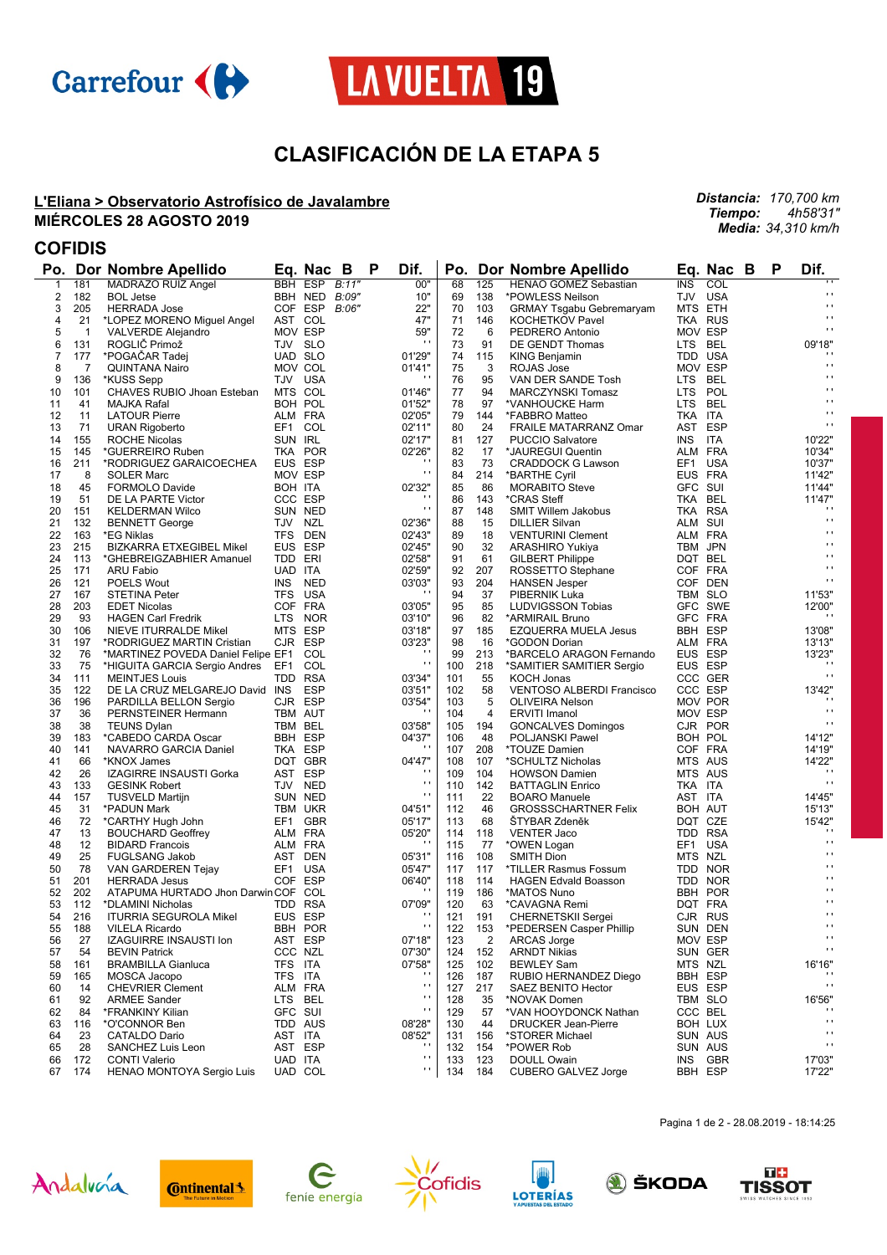



# **CLASIFICACIÓN DE LA ETAPA 5**

### **L'Eliana > Observatorio Astrofísico de Javalambre MIÉRCOLES 28 AGOSTO 2019**

*Distancia: 170,700 km Tiempo: 4h58'31" Media: 34,310 km/h*

## **COFIDIS**

|          |              | Po. Dor Nombre Apellido                             |            | Eq. Nac<br>B              | P | Dif.                     |            |                | Po. Dor Nombre Apellido                 |            | Eq. Nac B                 | P | Dif.                           |
|----------|--------------|-----------------------------------------------------|------------|---------------------------|---|--------------------------|------------|----------------|-----------------------------------------|------------|---------------------------|---|--------------------------------|
| 1        | 181          | MADRAZO RUIZ Angel                                  |            | BBH ESP B:11"             |   | 00"                      | 68         | 125            | <b>HENAO GOMEZ Sebastian</b>            | <b>INS</b> | COL                       |   |                                |
| 2        | 182          | <b>BOL Jetse</b>                                    |            | BBH NED B:09"             |   | 10"                      | 69         | 138            | *POWLESS Neilson                        |            | TJV USA                   |   | $\mathbf{r}$                   |
| 3        | 205          | <b>HERRADA Jose</b>                                 |            | COF ESP<br>B:06"          |   | 22"                      | 70         | 103            | <b>GRMAY Tsgabu Gebremaryam</b>         |            | MTS ETH                   |   | $\mathbf{r}$<br>$\mathbf{r}$   |
| 4        | 21           | *LOPEZ MORENO Miguel Angel                          |            | AST COL                   |   | 47"                      | 71         | 146            | <b>KOCHETKOV Pavel</b>                  |            | TKA RUS                   |   | $\mathbf{r}$ .                 |
| 5        | $\mathbf{1}$ | <b>VALVERDE Alejandro</b>                           |            | MOV ESP                   |   | 59"<br>$\blacksquare$    | 72         | 6              | PEDRERO Antonio                         |            | MOV ESP                   |   |                                |
| 6        | 131          | ROGLIČ Primož                                       |            | TJV SLO                   |   |                          | 73         | 91             | DE GENDT Thomas                         |            | LTS BEL                   |   | 09'18"                         |
| 7<br>8   | 177<br>7     | *POGACAR Tadej                                      |            | <b>UAD SLO</b><br>MOV COL |   | 01'29"                   | 74<br>75   | 115            | KING Benjamin                           |            | TDD USA<br>MOV ESP        |   | $\cdots$                       |
| 9        | 136          | <b>QUINTANA Nairo</b>                               | TJV USA    |                           |   | 01'41"<br>$\blacksquare$ | 76         | 3<br>95        | <b>ROJAS Jose</b><br>VAN DER SANDE Tosh |            | LTS BEL                   |   | $\cdots$                       |
| 10       | 101          | *KUSS Sepp<br>CHAVES RUBIO Jhoan Esteban            | MTS COL    |                           |   | 01'46"                   | 77         | 94             | MARCZYNSKI Tomasz                       |            | LTS POL                   |   | $\mathbf{r}$                   |
| 11       | 41           | MAJKA Rafal                                         |            | BOH POL                   |   | 01'52"                   | 78         | 97             | *VANHOUCKE Harm                         |            | LTS BEL                   |   | $\mathbf{r}$                   |
| 12       | 11           | <b>LATOUR Pierre</b>                                |            | ALM FRA                   |   | 02'05"                   | 79         | 144            | *FABBRO Matteo                          | TKA ITA    |                           |   | $\blacksquare$                 |
| 13       | 71           | <b>URAN Rigoberto</b>                               |            | EF1 COL                   |   | 02'11"                   | 80         | 24             | <b>FRAILE MATARRANZ Omar</b>            |            | AST ESP                   |   | $\mathbf{r}$                   |
| 14       | 155          | <b>ROCHE Nicolas</b>                                | SUN IRL    |                           |   | 02'17"                   | 81         | 127            | <b>PUCCIO Salvatore</b>                 | INS.       | ITA                       |   | 10'22"                         |
| 15       | 145          | *GUERREIRO Ruben                                    |            | TKA POR                   |   | 02'26"                   | 82         | 17             | *JAUREGUI Quentin                       |            | ALM FRA                   |   | 10'34"                         |
| 16       | 211          | *RODRIGUEZ GARAICOECHEA                             |            | EUS ESP                   |   |                          | 83         | 73             | <b>CRADDOCK G Lawson</b>                |            | EF1 USA                   |   | 10'37"                         |
| 17       | 8            | <b>SOLER Marc</b>                                   |            | MOV ESP                   |   | $\mathbf{r}$             | 84         | 214            | *BARTHE Cyril                           |            | EUS FRA                   |   | 11'42"                         |
| 18       | 45           | <b>FORMOLO Davide</b>                               | BOH ITA    |                           |   | 02'32"                   | 85         | 86             | <b>MORABITO Steve</b>                   | GFC SUI    |                           |   | 11'44"                         |
| 19       | 51           | DE LA PARTE Victor                                  |            | CCC ESP                   |   |                          | 86         | 143            | *CRAS Steff                             |            | TKA BEL                   |   | 11'47"                         |
| 20       | 151          | <b>KELDERMAN Wilco</b>                              |            | SUN NED                   |   | $\mathbf{r}$             | 87         | 148            | <b>SMIT Willem Jakobus</b>              |            | TKA RSA                   |   | $\cdots$                       |
| 21       | 132          | <b>BENNETT George</b>                               | TJV NZL    |                           |   | 02'36"                   | 88         | 15             | <b>DILLIER Silvan</b>                   | ALM SUI    |                           |   | $\mathbf{r}$                   |
| 22       | 163          | *EG Niklas                                          |            | TFS DEN                   |   | 02'43"                   | 89         | 18             | <b>VENTURINI Clement</b>                |            | ALM FRA                   |   | $\mathbf{r}$                   |
| 23       | 215          | <b>BIZKARRA ETXEGIBEL Mikel</b>                     |            | EUS ESP                   |   | 02'45"                   | 90         | 32             | <b>ARASHIRO Yukiya</b>                  |            | TBM JPN                   |   | $\mathbf{r}$                   |
| 24       | 113          | *GHEBREIGZABHIER Amanuel                            | TDD ERI    |                           |   | 02'58"                   | 91         | 61             | <b>GILBERT Philippe</b>                 |            | DQT BEL                   |   | $\blacksquare$<br>$\mathbf{r}$ |
| 25       | 171          | ARU Fabio                                           | UAD ITA    |                           |   | 02'59"                   | 92         | 207            | ROSSETTO Stephane                       |            | COF FRA                   |   | $\mathbf{r}$                   |
| 26       | 121          | POELS Wout                                          | INS        | NED                       |   | 03'03"                   | 93         | 204            | <b>HANSEN Jesper</b>                    |            | COF DEN                   |   |                                |
| 27       | 167          | STETINA Peter                                       |            | TFS USA                   |   |                          | 94         | 37             | PIBERNIK Luka                           |            | TBM SLO                   |   | 11'53"                         |
| 28       | 203          | <b>EDET Nicolas</b>                                 |            | COF FRA                   |   | 03'05"                   | 95         | 85             | LUDVIGSSON Tobias                       |            | GFC SWE                   |   | 12'00"<br>$\cdots$             |
| 29<br>30 | 93<br>106    | <b>HAGEN Carl Fredrik</b>                           |            | LTS NOR<br>MTS ESP        |   | 03'10"<br>03'18"         | 96<br>97   | 82<br>185      | *ARMIRAIL Bruno                         |            | GFC FRA<br><b>BBH ESP</b> |   | 13'08"                         |
| 31       | 197          | NIEVE ITURRALDE Mikel<br>*RODRIGUEZ MARTIN Cristian |            | CJR ESP                   |   | 03'23"                   | 98         | 16             | EZQUERRA MUELA Jesus<br>*GODON Dorian   |            | ALM FRA                   |   | 13'13"                         |
| 32       | 76           | *MARTINEZ POVEDA Daniel Felipe EF1                  |            | COL                       |   | $\cdots$                 | 99         | 213            | *BARCELO ARAGON Fernando                |            | EUS ESP                   |   | 13'23"                         |
| 33       | 75           | *HIGUITA GARCIA Sergio Andres EF1                   |            | COL                       |   | $\mathbf{r}$             | 100        | 218            | *SAMITIER SAMITIER Sergio               |            | EUS ESP                   |   | $\cdot$                        |
| 34       | 111          | <b>MEINTJES Louis</b>                               |            | TDD RSA                   |   | 03'34"                   | 101        | 55             | KOCH Jonas                              |            | CCC GER                   |   | $\mathbf{r}$ .                 |
| 35       | 122          | DE LA CRUZ MELGAREJO David INS                      |            | <b>ESP</b>                |   | 03'51"                   | 102        | 58             | <b>VENTOSO ALBERDI Francisco</b>        |            | CCC ESP                   |   | 13'42"                         |
| 36       | 196          | PARDILLA BELLON Sergio                              |            | CJR ESP                   |   | 03'54"                   | 103        | 5              | <b>OLIVEIRA Nelson</b>                  |            | MOV POR                   |   | $\cdots$                       |
| 37       | 36           | PERNSTEINER Hermann                                 | TBM AUT    |                           |   |                          | 104        | 4              | <b>ERVITI Imanol</b>                    |            | MOV ESP                   |   | $\mathbf{r}$                   |
| 38       | 38           | <b>TEUNS Dylan</b>                                  | TBM BEL    |                           |   | 03'58"                   | 105        | 194            | <b>GONCALVES Domingos</b>               |            | CJR POR                   |   | $\cdots$                       |
| 39       | 183          | *CABEDO CARDA Oscar                                 |            | <b>BBH ESP</b>            |   | 04'37"                   | 106        | 48             | <b>POLJANSKI Pawel</b>                  |            | BOH POL                   |   | 14'12"                         |
| 40       | 141          | NAVARRO GARCIA Daniel                               |            | TKA ESP                   |   | $\cdots$                 | 107        | 208            | *TOUZE Damien                           |            | COF FRA                   |   | 14'19"                         |
| 41       | 66           | *KNOX James                                         |            | DQT GBR                   |   | 04'47"                   | 108        | 107            | *SCHULTZ Nicholas                       |            | MTS AUS                   |   | 14'22"                         |
| 42       | 26           | IZAGIRRE INSAUSTI Gorka                             |            | AST ESP                   |   | $\blacksquare$           | 109        | 104            | <b>HOWSON Damien</b>                    |            | MTS AUS                   |   | $\cdot$                        |
| 43       | 133          | <b>GESINK Robert</b>                                |            | TJV NED                   |   | $\mathbf{r}$             | 110        | 142            | <b>BATTAGLIN Enrico</b>                 | TKA ITA    |                           |   | $\mathbf{r}$ .                 |
| 44       | 157          | <b>TUSVELD Martijn</b>                              |            | SUN NED                   |   | $\mathbf{r}$             | 111        | 22             | <b>BOARO Manuele</b>                    | AST ITA    |                           |   | 14'45"                         |
| 45       | 31           | *PADUN Mark                                         |            | TBM UKR                   |   | 04'51"                   | 112        | 46             | <b>GROSSSCHARTNER Felix</b>             |            | BOH AUT                   |   | 15'13"                         |
| 46       | 72           | *CARTHY Hugh John                                   |            | EF1 GBR                   |   | 05'17"                   | 113        | 68             | <b>STYBAR Zdeněk</b>                    |            | DQT CZE                   |   | 15'42"<br>$\cdots$             |
| 47<br>48 | 13           | <b>BOUCHARD Geoffrey</b><br><b>BIDARD Francois</b>  |            | ALM FRA                   |   | 05'20"<br>$\cdot$        | 114        | 118            | <b>VENTER Jaco</b>                      |            | TDD RSA                   |   | $\mathbf{r}$                   |
| 49       | 12<br>25     |                                                     |            | ALM FRA<br>AST DEN        |   | 05'31"                   | 115<br>116 | 77<br>108      | *OWEN Logan<br><b>SMITH Dion</b>        |            | EF1 USA<br>MTS NZL        |   | $\mathbf{r}$                   |
| 50       | 78           | <b>FUGLSANG Jakob</b><br>VAN GARDEREN Tejay         |            | EF1 USA                   |   | 05'47"                   | 117        | 117            | *TILLER Rasmus Fossum                   |            | TDD NOR                   |   | $\mathbf{r}$                   |
| 51       | 201          | <b>HERRADA Jesus</b>                                |            | COF ESP                   |   | 06'40"                   | 118        | 114            | <b>HAGEN Edvald Boasson</b>             |            | TDD NOR                   |   | $\mathbf{r}$                   |
| 52       | 202          | ATAPUMA HURTADO Jhon Darwin COF COL                 |            |                           |   | $\cdots$                 | 119        | 186            | *MATOS Nuno                             |            | BBH POR                   |   | $\mathbf{r}$                   |
| 53       | 112          | *DLAMINI Nicholas                                   |            | TDD RSA                   |   | 07'09"                   | 120        | 63             | *CAVAGNA Remi                           |            | DQT FRA                   |   | $\mathbf{r}$                   |
| 54       | 216          | <b>ITURRIA SEGUROLA Mikel</b>                       |            | EUS ESP                   |   | $\cdots$                 | 121        | 191            | CHERNETSKII Sergei                      |            | CJR RUS                   |   | $\mathbf{r}$                   |
| 55       | 188          | <b>VILELA Ricardo</b>                               |            | BBH POR                   |   | $\mathbf{r}$             | 122        |                | 153 *PEDERSEN Casper Phillip            |            | SUN DEN                   |   | $\cdots$                       |
| 56       | 27           | <b>IZAGUIRRE INSAUSTI Ion</b>                       |            | AST ESP                   |   | 07'18"                   | 123        | $\overline{2}$ | <b>ARCAS Jorge</b>                      |            | MOV ESP                   |   | $\mathbf{r}$                   |
| 57       | 54           | <b>BEVIN Patrick</b>                                |            | CCC NZL                   |   | 07'30"                   | 124        | 152            | <b>ARNDT Nikias</b>                     |            | SUN GER                   |   | $\mathbf{r}$                   |
| 58       | 161          | <b>BRAMBILLA Gianluca</b>                           | <b>TFS</b> | ITA                       |   | 07'58"                   | 125        | 102            | <b>BEWLEY Sam</b>                       |            | MTS NZL                   |   | 16'16"                         |
| 59       | 165          | MOSCA Jacopo                                        | TFS ITA    |                           |   | $\cdots$                 | 126        | 187            | RUBIO HERNANDEZ Diego                   |            | BBH ESP                   |   | $\cdots$                       |
| 60       | 14           | <b>CHEVRIER Clement</b>                             |            | ALM FRA                   |   | $\mathbf{r}$             | 127        | 217            | SAEZ BENITO Hector                      |            | EUS ESP                   |   | $\mathbf{r}$                   |
| 61       | 92           | <b>ARMEE Sander</b>                                 |            | LTS BEL                   |   | $\mathbf{r}$             | 128        | 35             | *NOVAK Domen                            |            | TBM SLO                   |   | 16'56"                         |
| 62       | 84           | *FRANKINY Kilian                                    | GFC SUI    |                           |   | $\mathbf{r}$             | 129        | 57             | *VAN HOOYDONCK Nathan                   |            | CCC BEL                   |   | $\cdots$                       |
| 63       | 116          | *O'CONNOR Ben                                       |            | TDD AUS                   |   | 08'28"                   | 130        | 44             | <b>DRUCKER Jean-Pierre</b>              |            | BOH LUX                   |   | $\mathbf{r}$                   |
| 64       | 23           | CATALDO Dario                                       | AST ITA    |                           |   | 08'52"<br>$\cdots$       | 131        | 156            | *STORER Michael                         |            | SUN AUS                   |   | $\mathbf{r}$<br>$\mathbf{r}$   |
| 65       | 28           | SANCHEZ Luis Leon                                   |            | AST ESP                   |   | $\mathbf{r}$             | 132        | 154            | *POWER Rob                              |            | SUN AUS                   |   |                                |
| 66       | 172          | <b>CONTI Valerio</b>                                | UAD ITA    |                           |   | $\blacksquare$           | 133        | 123            | <b>DOULL Owain</b>                      |            | INS GBR<br>BBH ESP        |   | 17'03"                         |
| 67       | 174          | HENAO MONTOYA Sergio Luis                           |            | UAD COL                   |   |                          | 134        | 184            | <b>CUBERO GALVEZ Jorge</b>              |            |                           |   | 17'22"                         |















Pagina 1 de 2 - 28.08.2019 - 18:14:25